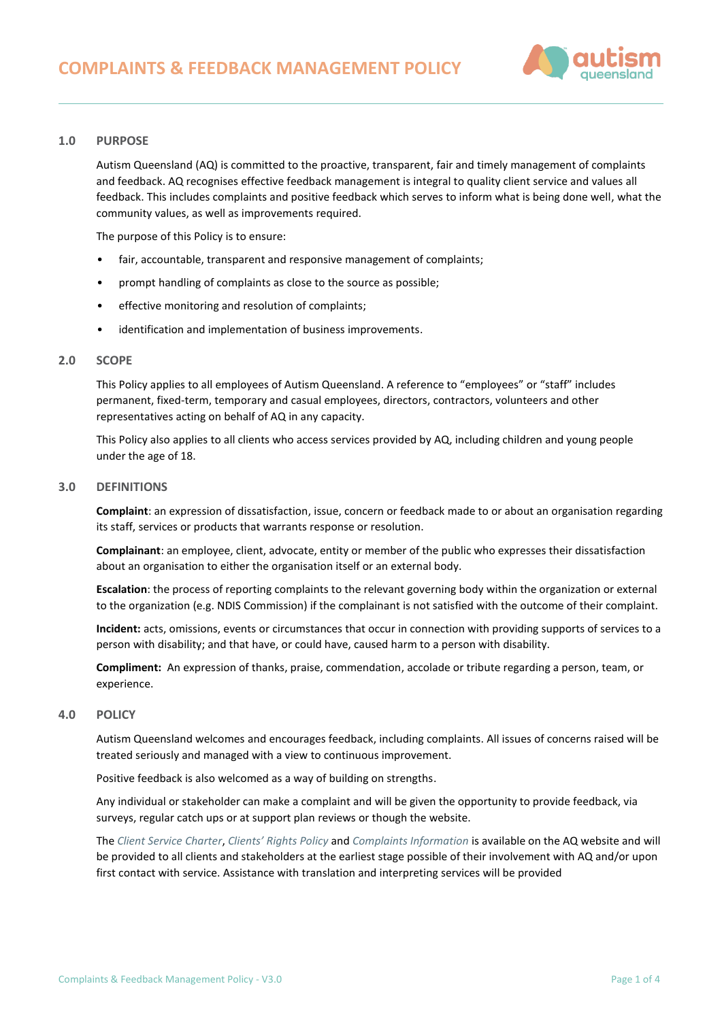

## **1.0 PURPOSE**

Autism Queensland (AQ) is committed to the proactive, transparent, fair and timely management of complaints and feedback. AQ recognises effective feedback management is integral to quality client service and values all feedback. This includes complaints and positive feedback which serves to inform what is being done well, what the community values, as well as improvements required.

The purpose of this Policy is to ensure:

- fair, accountable, transparent and responsive management of complaints;
- prompt handling of complaints as close to the source as possible;
- effective monitoring and resolution of complaints;
- identification and implementation of business improvements.

### **2.0 SCOPE**

This Policy applies to all employees of Autism Queensland. A reference to "employees" or "staff" includes permanent, fixed-term, temporary and casual employees, directors, contractors, volunteers and other representatives acting on behalf of AQ in any capacity.

This Policy also applies to all clients who access services provided by AQ, including children and young people under the age of 18.

#### **3.0 DEFINITIONS**

**Complaint**: an expression of dissatisfaction, issue, concern or feedback made to or about an organisation regarding its staff, services or products that warrants response or resolution.

**Complainant**: an employee, client, advocate, entity or member of the public who expresses their dissatisfaction about an organisation to either the organisation itself or an external body.

**Escalation**: the process of reporting complaints to the relevant governing body within the organization or external to the organization (e.g. NDIS Commission) if the complainant is not satisfied with the outcome of their complaint.

**Incident:** acts, omissions, events or circumstances that occur in connection with providing supports of services to a person with disability; and that have, or could have, caused harm to a person with disability.

**Compliment:** An expression of thanks, praise, commendation, accolade or tribute regarding a person, team, or experience.

### **4.0 POLICY**

Autism Queensland welcomes and encourages feedback, including complaints. All issues of concerns raised will be treated seriously and managed with a view to continuous improvement.

Positive feedback is also welcomed as a way of building on strengths.

Any individual or stakeholder can make a complaint and will be given the opportunity to provide feedback, via surveys, regular catch ups or at support plan reviews or though the website.

The *[Client Service Charter](https://autismqueenslandlimited.sharepoint.com/sites/AQQADocuments/All%20Documents/Client%20Service%20Charter.pdf)*, *[Clients' Rights Policy](https://autismqueenslandlimited.sharepoint.com/sites/AQQADocuments/All%20Documents/Clients)* and *[Complaints Information](https://autismqueenslandlimited.sharepoint.com/sites/AQQADocuments/All%20Documents/Complaints%20Information.pdf)* is available on the AQ website and will be provided to all clients and stakeholders at the earliest stage possible of their involvement with AQ and/or upon first contact with service. Assistance with translation and interpreting services will be provided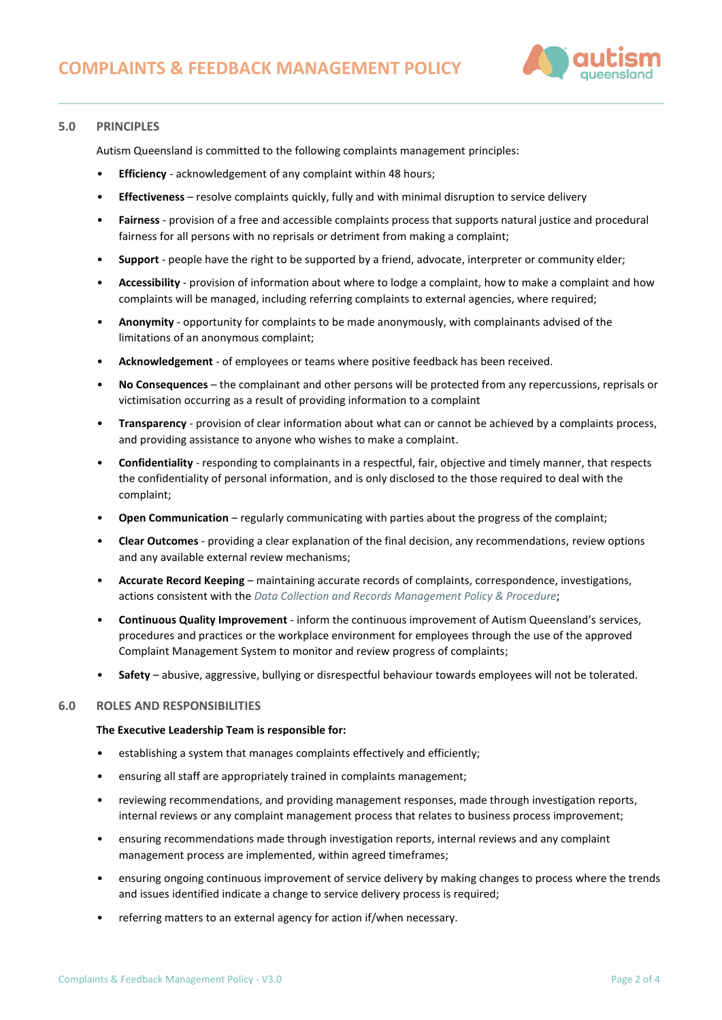

# **5.0 PRINCIPLES**

Autism Queensland is committed to the following complaints management principles:

- **Efficiency** acknowledgement of any complaint within 48 hours;
- **Effectiveness** resolve complaints quickly, fully and with minimal disruption to service delivery
- **Fairness** provision of a free and accessible complaints process that supports natural justice and procedural fairness for all persons with no reprisals or detriment from making a complaint;
- **Support** people have the right to be supported by a friend, advocate, interpreter or community elder;
- **Accessibility** provision of information about where to lodge a complaint, how to make a complaint and how complaints will be managed, including referring complaints to external agencies, where required;
- **Anonymity** opportunity for complaints to be made anonymously, with complainants advised of the limitations of an anonymous complaint;
- **Acknowledgement** of employees or teams where positive feedback has been received.
- **No Consequences** the complainant and other persons will be protected from any repercussions, reprisals or victimisation occurring as a result of providing information to a complaint
- **Transparency** provision of clear information about what can or cannot be achieved by a complaints process, and providing assistance to anyone who wishes to make a complaint.
- **Confidentiality** responding to complainants in a respectful, fair, objective and timely manner, that respects the confidentiality of personal information, and is only disclosed to the those required to deal with the complaint;
- **Open Communication** regularly communicating with parties about the progress of the complaint;
- **Clear Outcomes** providing a clear explanation of the final decision, any recommendations, review options and any available external review mechanisms;
- **Accurate Record Keeping** maintaining accurate records of complaints, correspondence, investigations, actions consistent with the *[Data Collection and Records Management Policy & Procedure](https://autismqueenslandlimited.sharepoint.com/sites/AQQADocuments/All%20Documents/Data%20Collection%20and%20Records%20Management%20Policy%20&%20Procedure.pdf?CT=1652245898126&OR=ItemsView)*;
- **Continuous Quality Improvement** inform the continuous improvement of Autism Queensland's services, procedures and practices or the workplace environment for employees through the use of the approved Complaint Management System to monitor and review progress of complaints;
- **Safety** abusive, aggressive, bullying or disrespectful behaviour towards employees will not be tolerated.

## **6.0 ROLES AND RESPONSIBILITIES**

#### **The Executive Leadership Team is responsible for:**

- establishing a system that manages complaints effectively and efficiently;
- ensuring all staff are appropriately trained in complaints management;
- reviewing recommendations, and providing management responses, made through investigation reports, internal reviews or any complaint management process that relates to business process improvement;
- ensuring recommendations made through investigation reports, internal reviews and any complaint management process are implemented, within agreed timeframes;
- ensuring ongoing continuous improvement of service delivery by making changes to process where the trends and issues identified indicate a change to service delivery process is required;
- referring matters to an external agency for action if/when necessary.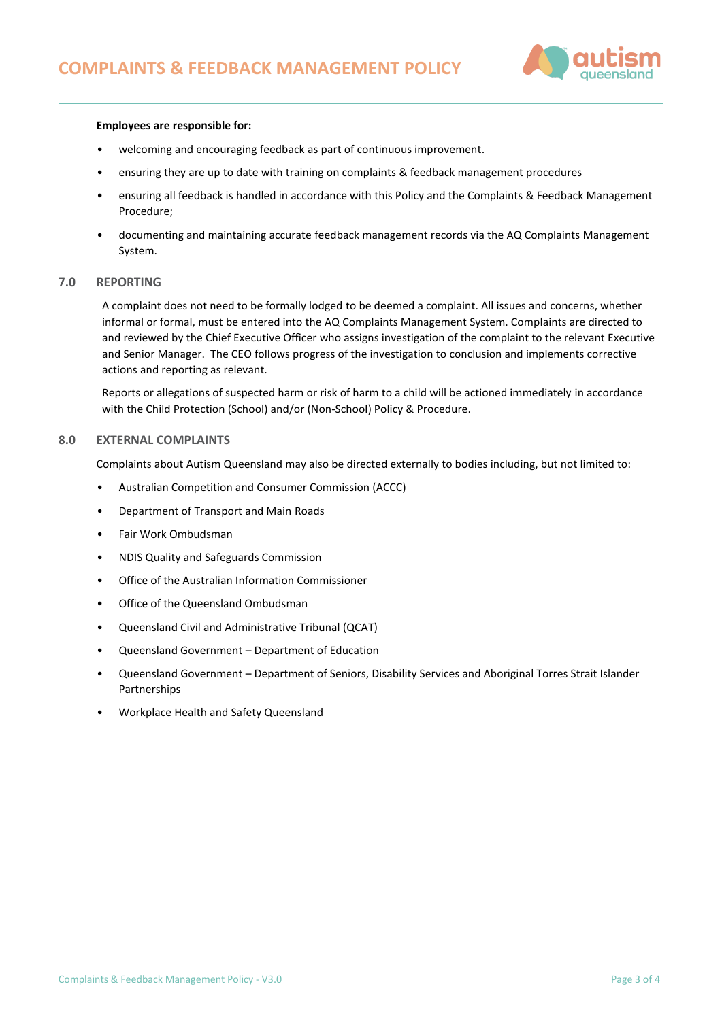

## **Employees are responsible for:**

- welcoming and encouraging feedback as part of continuous improvement.
- ensuring they are up to date with training on complaints & feedback management procedures
- ensuring all feedback is handled in accordance with this Policy and the Complaints & Feedback Management Procedure;
- documenting and maintaining accurate feedback management records via the AQ Complaints Management System.

### **7.0 REPORTING**

A complaint does not need to be formally lodged to be deemed a complaint. All issues and concerns, whether informal or formal, must be entered into the AQ Complaints Management System. Complaints are directed to and reviewed by the Chief Executive Officer who assigns investigation of the complaint to the relevant Executive and Senior Manager. The CEO follows progress of the investigation to conclusion and implements corrective actions and reporting as relevant.

Reports or allegations of suspected harm or risk of harm to a child will be actioned immediately in accordance with the Child Protection (School) and/or (Non-School) Policy & Procedure.

# **8.0 EXTERNAL COMPLAINTS**

Complaints about Autism Queensland may also be directed externally to bodies including, but not limited to:

- Australian Competition and Consumer Commission (ACCC)
- Department of Transport and Main Roads
- Fair Work Ombudsman
- NDIS Quality and Safeguards Commission
- Office of the Australian Information Commissioner
- Office of the Queensland Ombudsman
- Queensland Civil and Administrative Tribunal (QCAT)
- Queensland Government Department of Education
- Queensland Government Department of Seniors, Disability Services and Aboriginal Torres Strait Islander Partnerships
- Workplace Health and Safety Queensland